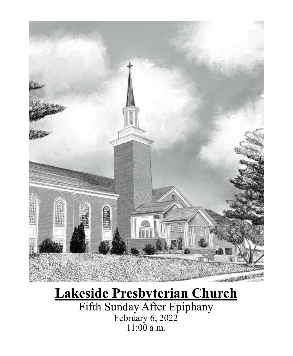

# **Lakeside Presbyterian Church**

Fifth Sunday After Epiphany February 6, 2022 11:00 a.m.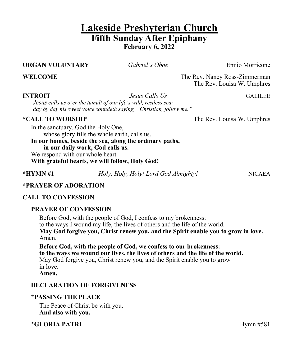## **Lakeside Presbyterian Church Fifth Sunday After Epiphany February 6, 2022**

### **ORGAN VOLUNTARY** *Gabriel's Oboe* Ennio Morricone

**WELCOME** The Rev. Nancy Ross-Zimmerman The Rev. Louisa W. Umphres

**INTROIT** *Jesus Calls Us* **GALILEE** 

*Jesus calls us o'er the tumult of our life's wild, restless sea; day by day his sweet voice soundeth saying, "Christian, follow me."*

**\*CALL TO WORSHIP** The Rev. Louisa W. Umphres

In the sanctuary, God the Holy One, whose glory fills the whole earth, calls us. **In our homes, beside the sea, along the ordinary paths,** 

**in our daily work, God calls us.** We respond with our whole heart. **With grateful hearts, we will follow, Holy God!**

**\*HYMN #1** *Holy, Holy, Holy! Lord God Almighty!* NICAEA

### **\*PRAYER OF ADORATION**

### **CALL TO CONFESSION**

### **PRAYER OF CONFESSION**

Before God, with the people of God, I confess to my brokenness: to the ways I wound my life, the lives of others and the life of the world. **May God forgive you, Christ renew you, and the Spirit enable you to grow in love.**  Amen.

**Before God, with the people of God, we confess to our brokenness: to the ways we wound our lives, the lives of others and the life of the world.** May God forgive you, Christ renew you, and the Spirit enable you to grow in love. **Amen.**

### **DECLARATION OF FORGIVENESS**

### **\*PASSING THE PEACE**

The Peace of Christ be with you. **And also with you.**

**\*GLORIA PATRI** Hymn #581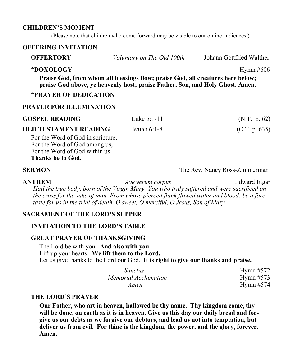### **CHILDREN'S MOMENT**

(Please note that children who come forward may be visible to our online audiences.)

### **OFFERING INVITATION**

| <b>OFFERTORY</b> | Voluntary on The Old 100th | Johann Gottfried Walther |
|------------------|----------------------------|--------------------------|
|------------------|----------------------------|--------------------------|

### **\*DOXOLOGY** Hymn #606

**Praise God, from whom all blessings flow; praise God, all creatures here below; praise God above, ye heavenly host; praise Father, Son, and Holy Ghost. Amen.**

### **\*PRAYER OF DEDICATION**

### **PRAYER FOR ILLUMINATION**

| <b>GOSPEL READING</b>                                              | Luke $5:1-11$  | (N.T. p. 62)  |
|--------------------------------------------------------------------|----------------|---------------|
| <b>OLD TESTAMENT READING</b>                                       | Isaiah $6:1-8$ | (O.T. p. 635) |
| For the Word of God in scripture,<br>For the Word of God among us, |                |               |
| For the Word of God within us.                                     |                |               |
| Thanks be to God.                                                  |                |               |

**SERMON** The Rev. Nancy Ross-Zimmerman

**ANTHEM** *Ave verum corpus* Edward Elgar *Hail the true body, born of the Virgin Mary: You who truly suffered and were sacrificed on the cross for the sake of man. From whose pierced flank flowed water and blood: be a foretaste for us in the trial of death. O sweet, O merciful, O Jesus, Son of Mary.*

### **SACRAMENT OF THE LORD'S SUPPER**

### **INVITATION TO THE LORD'S TABLE**

### **GREAT PRAYER OF THANKSGIVING**

The Lord be with you. **And also with you.** Lift up your hearts. **We lift them to the Lord.** Let us give thanks to the Lord our God. **It is right to give our thanks and praise.**

| <i>Sanctus</i>       | Hymn $#572$ |
|----------------------|-------------|
| Memorial Acclamation | Hymn $#573$ |
| Amen                 | Hymn $#574$ |

### **THE LORD'S PRAYER**

**Our Father, who art in heaven, hallowed be thy name. Thy kingdom come, thy will be done, on earth as it is in heaven. Give us this day our daily bread and forgive us our debts as we forgive our debtors, and lead us not into temptation, but deliver us from evil. For thine is the kingdom, the power, and the glory, forever. Amen.**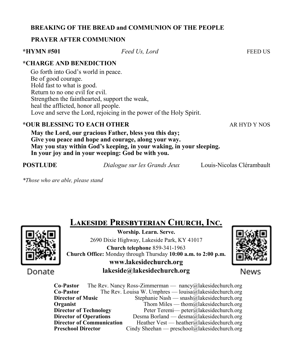### **BREAKING OF THE BREAD and COMMUNION OF THE PEOPLE**

### **PRAYER AFTER COMMUNION**

**\*HYMN #501** *Feed Us, Lord* FEED US

### **\*CHARGE AND BENEDICTION**

Go forth into God's world in peace. Be of good courage. Hold fast to what is good. Return to no one evil for evil. Strengthen the fainthearted, support the weak, heal the afflicted, honor all people. Love and serve the Lord, rejoicing in the power of the Holy Spirit.

### **\*OUR BLESSING TO EACH OTHER** AR HYD Y NOS

**May the Lord, our gracious Father, bless you this day; Give you peace and hope and courage, along your way. May you stay within God's keeping, in your waking, in your sleeping. In your joy and in your weeping: God be with you.**

**POSTLUDE** *Dialogue sur les Grands Jeux* Louis-Nicolas Clérambault

*\*Those who are able, please stand*



# **Lakeside Presbyterian Church, Inc.**

**Worship. Learn. Serve.** 2690 Dixie Highway, Lakeside Park, KY 41017 **Church telephone** 859-341-1963 **Church Office:** Monday through Thursday **10:00 a.m. to 2:00 p.m. www.lakesidechurch.org lakeside@lakesidechurch.org**



News

**Co-Pastor** The Rev. Nancy Ross-Zimmerman — nancy@lakesidechurch.org **Co-Pastor** The Rev. Louisa W. Umphres — louisa@lakesidechurch.org **Director of Music** Stephanie Nash — snash@lakesidechurch.org **Organist** Thom Miles — thom all the intervalse of the Thom Miles — thom all the intervalse of the intervalse of the intervalse of the intervalse of the intervalse of the intervalse of the intervalse of the intervalse of t **Director of Technology** Peter Teremi— peter@lakesidechurch.org **Director of Operations** Desma Borland — desma@lakesidechurch.org<br>**Director of Communication** Heather Vest — heather@lakesidechurch.org Heather Vest — heather@lakesidechurch.org **Preschool Director** Cindy Sheehan — preschool@lakesidechurch.org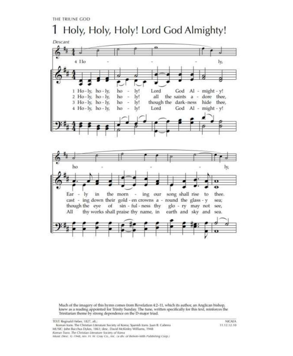THE TRIUNE GOD

# Holy, Holy, Holy! Lord God Almighty!



Much of the imagery of this hymn comes from Revelation 4:2-11, which its author, an Anglican bishop, knew as a reading appointed for Trinity Sunday. The tune, written specifically for this text, reinforces the Trinitarian theme by strong dependence on the D-major triad.

TEXT: Reginald Heber, 1827, alt.;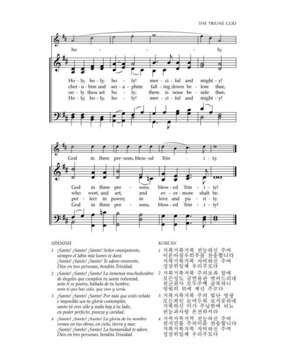THE TRIUNE GOD



### **SPANISH**

- 1 ¡Santo! ¡Santo! ¡Santo! Señor omnipotente, siempre el labio mío loores te dará. ¡Santo! ¡Santo! ¡Santo! Te adoro reverente, Dios en tres personas, bendita Trinidad.
- 2 ¡Santo! ¡Santo! ¡Santo! La inmensa muchedumbre 2 거룩거룩거룩 주의보좌 앞에 de ángeles que cumplen tu santa voluntad, ante ti se postra, bañada de tu lumbre, ante ti que has sido, que eres y serás.
- 3 ¡Santo! ¡Santo! ¡Santo! Por más que estés velado e imposible sea tu gloria contemplar, santo tú eres sólo y nada hay a tu lado, en poder perfecto, pureza y caridad.
- 4 ¡Santo! ¡Santo! ¡Santo! La gloria de tu nombre vemos en tus obras, en cielo, tierra y mar. ¡Santo! ¡Santo! ¡Santo! La humanidad te adore, Dios en tres personas, bendita Trinidad.

### **KOREAN**

- 거룩거룩거룩 전능하신 주여 Ť 이른아침우리주를 찬송합니다 거룩거룩거룩 자비하신 주여 성삼위일체 우리주로다
- 모든성도 금면류관 벗어드리네 천군천사 모두주께 굴복하니 영원히 위에 계신 주로다
- 3 거룩거룩거룩 주의 빛난 영광 모든죄인 눈어두워 보지못하네 거룩하신 이가 주님밖에 뉘뇨 권능과사랑 온전하셔라
- 4 거루거루거루 전능하신 주여 천지만물 주의이름 찬송합니다 거룩거룩거룩 자비하신 주여 성삼위일체 우리주로다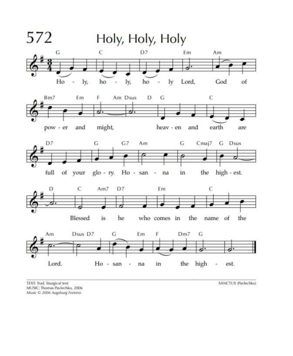

TEXT: Trad. liturgical text MUSIC: Thomas Pavlechko, 2006 Music © 2006 Augsburg Fortress

SANCTUS (Pavlechko)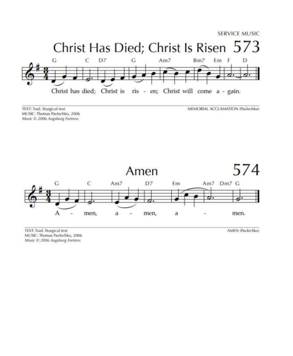

TEXT: Trad. liturgical text MUSIC: Thomas Pavlechko, 2006 Music © 2006 Augsburg Fortress

MEMORIAL ACCLAMATION (Paylechko)



TEXT: Trad. liturgical text MUSIC: Thomas Pavlechko, 2006 Music © 2006 Augsburg Fortness

AMEN (Pavlechko)